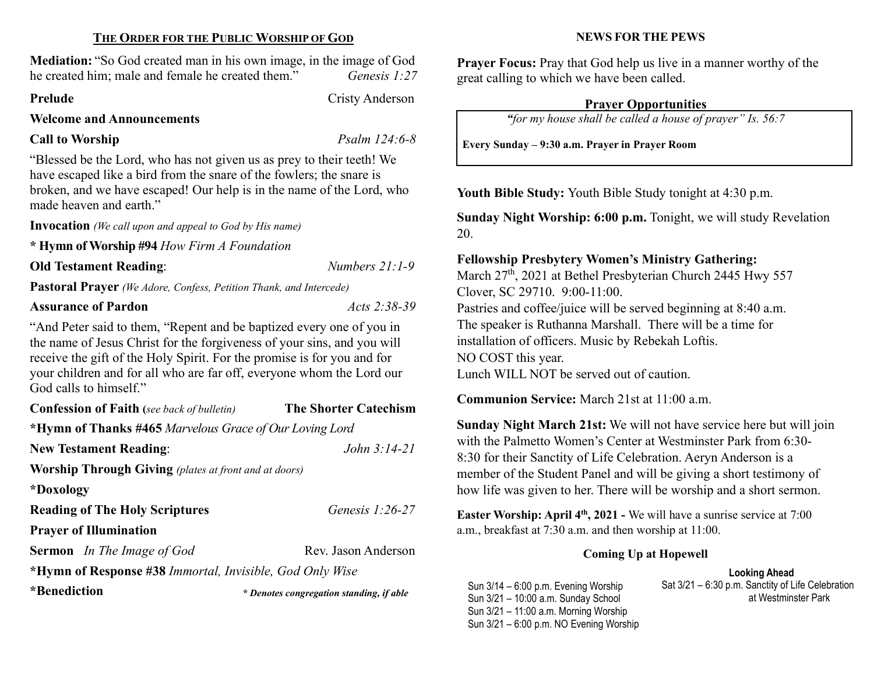#### THE ORDER FOR THE PUBLIC WORSHIP OF GOD

Mediation: "So God created man in his own image, in the image of God he created him; male and female he created them." Genesis 1:27

#### Prelude Cristy Anderson

Welcome and Announcements

## Call to Worship Psalm 124:6-8

"Blessed be the Lord, who has not given us as prey to their teeth! We have escaped like a bird from the snare of the fowlers; the snare is broken, and we have escaped! Our help is in the name of the Lord, who made heaven and earth."

Invocation (We call upon and appeal to God by His name)

\* Hymn of Worship #94 How Firm A Foundation

#### Old Testament Reading: Numbers 21:1-9

Pastoral Prayer (We Adore, Confess, Petition Thank, and Intercede)

## Assurance of Pardon Acts 2:38-39

"And Peter said to them, "Repent and be baptized every one of you in the name of Jesus Christ for the forgiveness of your sins, and you will receive the gift of the Holy Spirit. For the promise is for you and for your children and for all who are far off, everyone whom the Lord our God calls to himself."

| <b>Confession of Faith</b> (see back of bulletin)            | <b>The Shorter Catechism</b>             |  |  |  |  |
|--------------------------------------------------------------|------------------------------------------|--|--|--|--|
| *Hymn of Thanks #465 Marvelous Grace of Our Loving Lord      |                                          |  |  |  |  |
| <b>New Testament Reading:</b>                                | John 3:14-21                             |  |  |  |  |
| <b>Worship Through Giving</b> (plates at front and at doors) |                                          |  |  |  |  |
| *Doxology                                                    |                                          |  |  |  |  |
| <b>Reading of The Holy Scriptures</b>                        | Genesis $1:26-27$                        |  |  |  |  |
| <b>Prayer of Illumination</b>                                |                                          |  |  |  |  |
| <b>Sermon</b> In The Image of God                            | Rev. Jason Anderson                      |  |  |  |  |
| *Hymn of Response #38 Immortal, Invisible, God Only Wise     |                                          |  |  |  |  |
| *Benediction                                                 | * Denotes congregation standing, if able |  |  |  |  |

#### NEWS FOR THE PEWS

Prayer Focus: Pray that God help us live in a manner worthy of the great calling to which we have been called.

#### Prayer Opportunities

"for my house shall be called a house of prayer" Is. 56:7

Every Sunday – 9:30 a.m. Prayer in Prayer Room

Youth Bible Study: Youth Bible Study tonight at 4:30 p.m.

Sunday Night Worship: 6:00 p.m. Tonight, we will study Revelation 20.

## Fellowship Presbytery Women's Ministry Gathering:

March 27<sup>th</sup>, 2021 at Bethel Presbyterian Church 2445 Hwy 557 Clover, SC 29710. 9:00-11:00. Pastries and coffee/juice will be served beginning at 8:40 a.m. The speaker is Ruthanna Marshall. There will be a time for installation of officers. Music by Rebekah Loftis. NO COST this year. Lunch WILL NOT be served out of caution.

Communion Service: March 21st at 11:00 a.m.

Sunday Night March 21st: We will not have service here but will join with the Palmetto Women's Center at Westminster Park from 6:30- 8:30 for their Sanctity of Life Celebration. Aeryn Anderson is a member of the Student Panel and will be giving a short testimony of how life was given to her. There will be worship and a short sermon.

Easter Worship: April 4<sup>th</sup>, 2021 - We will have a sunrise service at 7:00 a.m., breakfast at 7:30 a.m. and then worship at 11:00.

#### Coming Up at Hopewell

Looking Ahead Sat 3/21 – 6:30 p.m. Sanctity of Life Celebration at Westminster Park

Sun 3/14 – 6:00 p.m. Evening Worship Sun 3/21 – 10:00 a.m. Sunday School Sun 3/21 – 11:00 a.m. Morning Worship Sun 3/21 – 6:00 p.m. NO Evening Worship